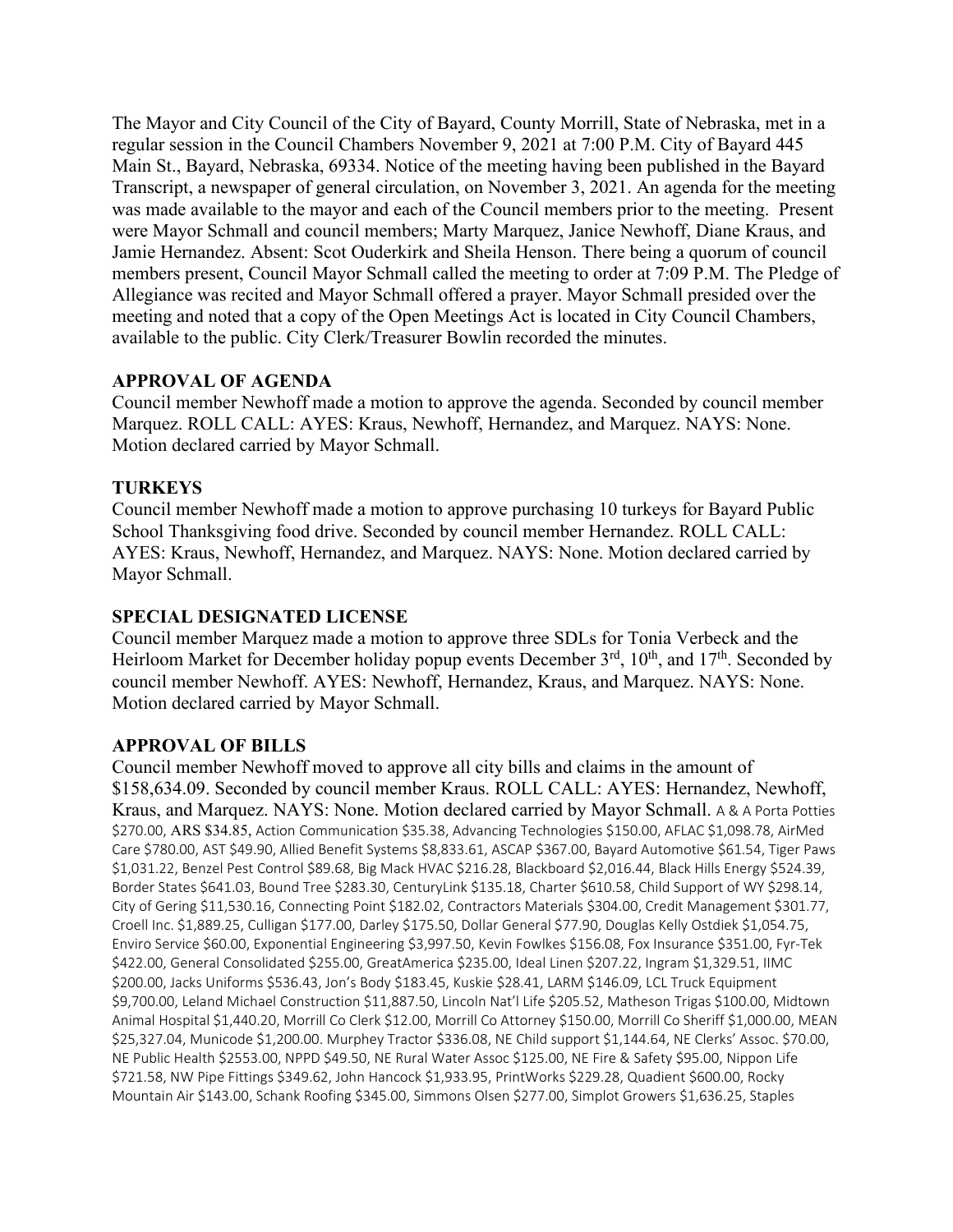The Mayor and City Council of the City of Bayard, County Morrill, State of Nebraska, met in a regular session in the Council Chambers November 9, 2021 at 7:00 P.M. City of Bayard 445 Main St., Bayard, Nebraska, 69334. Notice of the meeting having been published in the Bayard Transcript, a newspaper of general circulation, on November 3, 2021. An agenda for the meeting was made available to the mayor and each of the Council members prior to the meeting. Present were Mayor Schmall and council members; Marty Marquez, Janice Newhoff, Diane Kraus, and Jamie Hernandez. Absent: Scot Ouderkirk and Sheila Henson. There being a quorum of council members present, Council Mayor Schmall called the meeting to order at 7:09 P.M. The Pledge of Allegiance was recited and Mayor Schmall offered a prayer. Mayor Schmall presided over the meeting and noted that a copy of the Open Meetings Act is located in City Council Chambers, available to the public. City Clerk/Treasurer Bowlin recorded the minutes.

## **APPROVAL OF AGENDA**

Council member Newhoff made a motion to approve the agenda. Seconded by council member Marquez. ROLL CALL: AYES: Kraus, Newhoff, Hernandez, and Marquez. NAYS: None. Motion declared carried by Mayor Schmall.

## **TURKEYS**

Council member Newhoff made a motion to approve purchasing 10 turkeys for Bayard Public School Thanksgiving food drive. Seconded by council member Hernandez. ROLL CALL: AYES: Kraus, Newhoff, Hernandez, and Marquez. NAYS: None. Motion declared carried by Mayor Schmall.

## **SPECIAL DESIGNATED LICENSE**

Council member Marquez made a motion to approve three SDLs for Tonia Verbeck and the Heirloom Market for December holiday popup events December  $3<sup>rd</sup>$ ,  $10<sup>th</sup>$ , and  $17<sup>th</sup>$ . Seconded by council member Newhoff. AYES: Newhoff, Hernandez, Kraus, and Marquez. NAYS: None. Motion declared carried by Mayor Schmall.

# **APPROVAL OF BILLS**

Council member Newhoff moved to approve all city bills and claims in the amount of \$158,634.09. Seconded by council member Kraus. ROLL CALL: AYES: Hernandez, Newhoff, Kraus, and Marquez. NAYS: None. Motion declared carried by Mayor Schmall. A & A Porta Potties \$270.00, ARS \$34.85, Action Communication \$35.38, Advancing Technologies \$150.00, AFLAC \$1,098.78, AirMed Care \$780.00, AST \$49.90, Allied Benefit Systems \$8,833.61, ASCAP \$367.00, Bayard Automotive \$61.54, Tiger Paws \$1,031.22, Benzel Pest Control \$89.68, Big Mack HVAC \$216.28, Blackboard \$2,016.44, Black Hills Energy \$524.39, Border States \$641.03, Bound Tree \$283.30, CenturyLink \$135.18, Charter \$610.58, Child Support of WY \$298.14, City of Gering \$11,530.16, Connecting Point \$182.02, Contractors Materials \$304.00, Credit Management \$301.77, Croell Inc. \$1,889.25, Culligan \$177.00, Darley \$175.50, Dollar General \$77.90, Douglas Kelly Ostdiek \$1,054.75, Enviro Service \$60.00, Exponential Engineering \$3,997.50, Kevin Fowlkes \$156.08, Fox Insurance \$351.00, Fyr-Tek \$422.00, General Consolidated \$255.00, GreatAmerica \$235.00, Ideal Linen \$207.22, Ingram \$1,329.51, IIMC \$200.00, Jacks Uniforms \$536.43, Jon's Body \$183.45, Kuskie \$28.41, LARM \$146.09, LCL Truck Equipment \$9,700.00, Leland Michael Construction \$11,887.50, Lincoln Nat'l Life \$205.52, Matheson Trigas \$100.00, Midtown Animal Hospital \$1,440.20, Morrill Co Clerk \$12.00, Morrill Co Attorney \$150.00, Morrill Co Sheriff \$1,000.00, MEAN \$25,327.04, Municode \$1,200.00. Murphey Tractor \$336.08, NE Child support \$1,144.64, NE Clerks' Assoc. \$70.00, NE Public Health \$2553.00, NPPD \$49.50, NE Rural Water Assoc \$125.00, NE Fire & Safety \$95.00, Nippon Life \$721.58, NW Pipe Fittings \$349.62, John Hancock \$1,933.95, PrintWorks \$229.28, Quadient \$600.00, Rocky Mountain Air \$143.00, Schank Roofing \$345.00, Simmons Olsen \$277.00, Simplot Growers \$1,636.25, Staples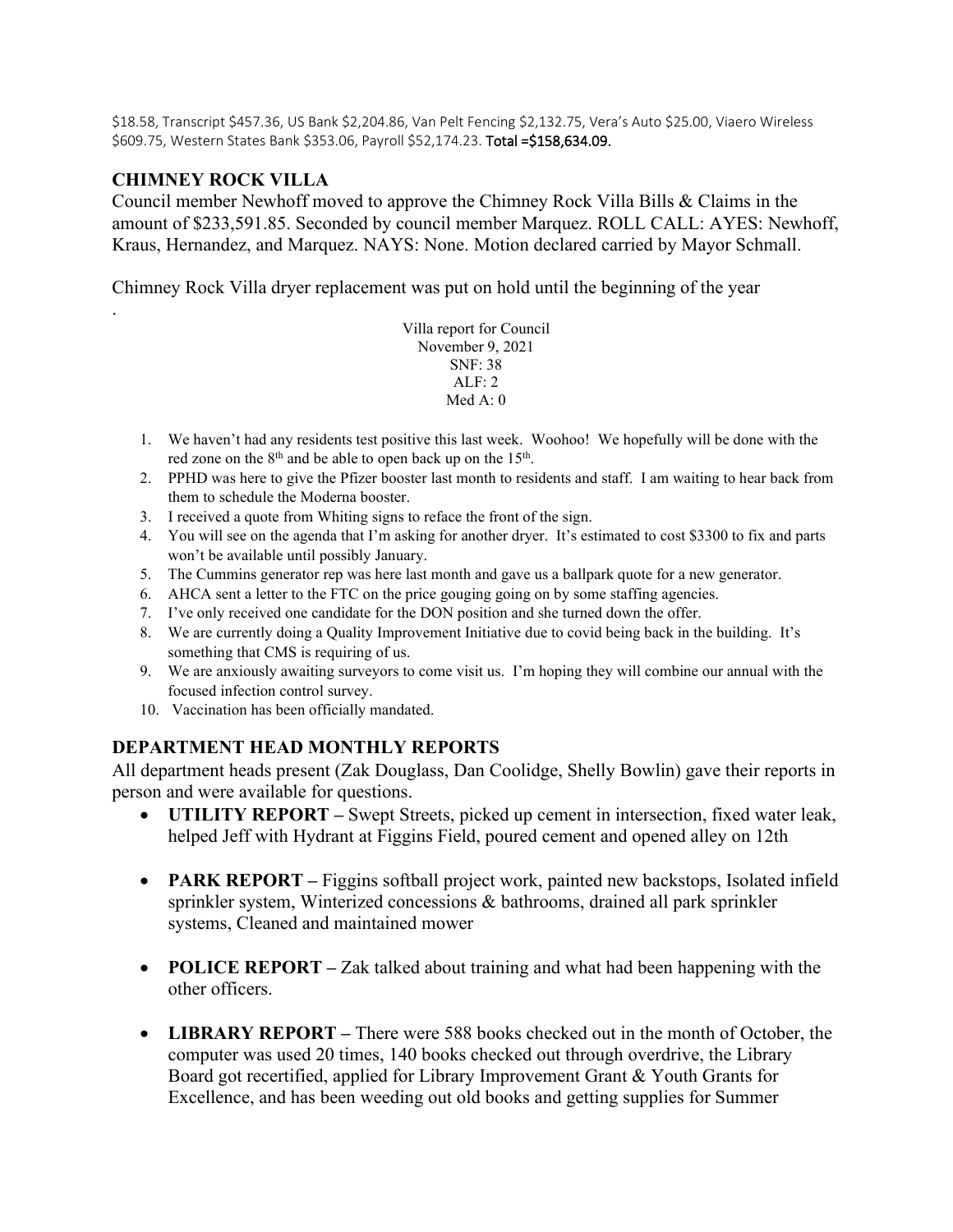\$18.58, Transcript \$457.36, US Bank \$2,204.86, Van Pelt Fencing \$2,132.75, Vera's Auto \$25.00, Viaero Wireless \$609.75, Western States Bank \$353.06, Payroll \$52,174.23. Total =\$158,634.09.

#### **CHIMNEY ROCK VILLA**

.

Council member Newhoff moved to approve the Chimney Rock Villa Bills & Claims in the amount of \$233,591.85. Seconded by council member Marquez. ROLL CALL: AYES: Newhoff, Kraus, Hernandez, and Marquez. NAYS: None. Motion declared carried by Mayor Schmall.

Chimney Rock Villa dryer replacement was put on hold until the beginning of the year

Villa report for Council November 9, 2021 SNF: 38 ALF: 2 Med  $A \cdot 0$ 

- 1. We haven't had any residents test positive this last week. Woohoo! We hopefully will be done with the red zone on the  $8<sup>th</sup>$  and be able to open back up on the  $15<sup>th</sup>$ .
- 2. PPHD was here to give the Pfizer booster last month to residents and staff. I am waiting to hear back from them to schedule the Moderna booster.
- 3. I received a quote from Whiting signs to reface the front of the sign.
- 4. You will see on the agenda that I'm asking for another dryer. It's estimated to cost \$3300 to fix and parts won't be available until possibly January.
- 5. The Cummins generator rep was here last month and gave us a ballpark quote for a new generator.
- 6. AHCA sent a letter to the FTC on the price gouging going on by some staffing agencies.
- 7. I've only received one candidate for the DON position and she turned down the offer.
- 8. We are currently doing a Quality Improvement Initiative due to covid being back in the building. It's something that CMS is requiring of us.
- 9. We are anxiously awaiting surveyors to come visit us. I'm hoping they will combine our annual with the focused infection control survey.
- 10. Vaccination has been officially mandated.

#### **DEPARTMENT HEAD MONTHLY REPORTS**

All department heads present (Zak Douglass, Dan Coolidge, Shelly Bowlin) gave their reports in person and were available for questions.

- **UTILITY REPORT –** Swept Streets, picked up cement in intersection, fixed water leak, helped Jeff with Hydrant at Figgins Field, poured cement and opened alley on 12th
- **PARK REPORT** Figgins softball project work, painted new backstops, Isolated infield sprinkler system, Winterized concessions & bathrooms, drained all park sprinkler systems, Cleaned and maintained mower
- **POLICE REPORT –** Zak talked about training and what had been happening with the other officers.
- **LIBRARY REPORT –** There were 588 books checked out in the month of October, the computer was used 20 times, 140 books checked out through overdrive, the Library Board got recertified, applied for Library Improvement Grant & Youth Grants for Excellence, and has been weeding out old books and getting supplies for Summer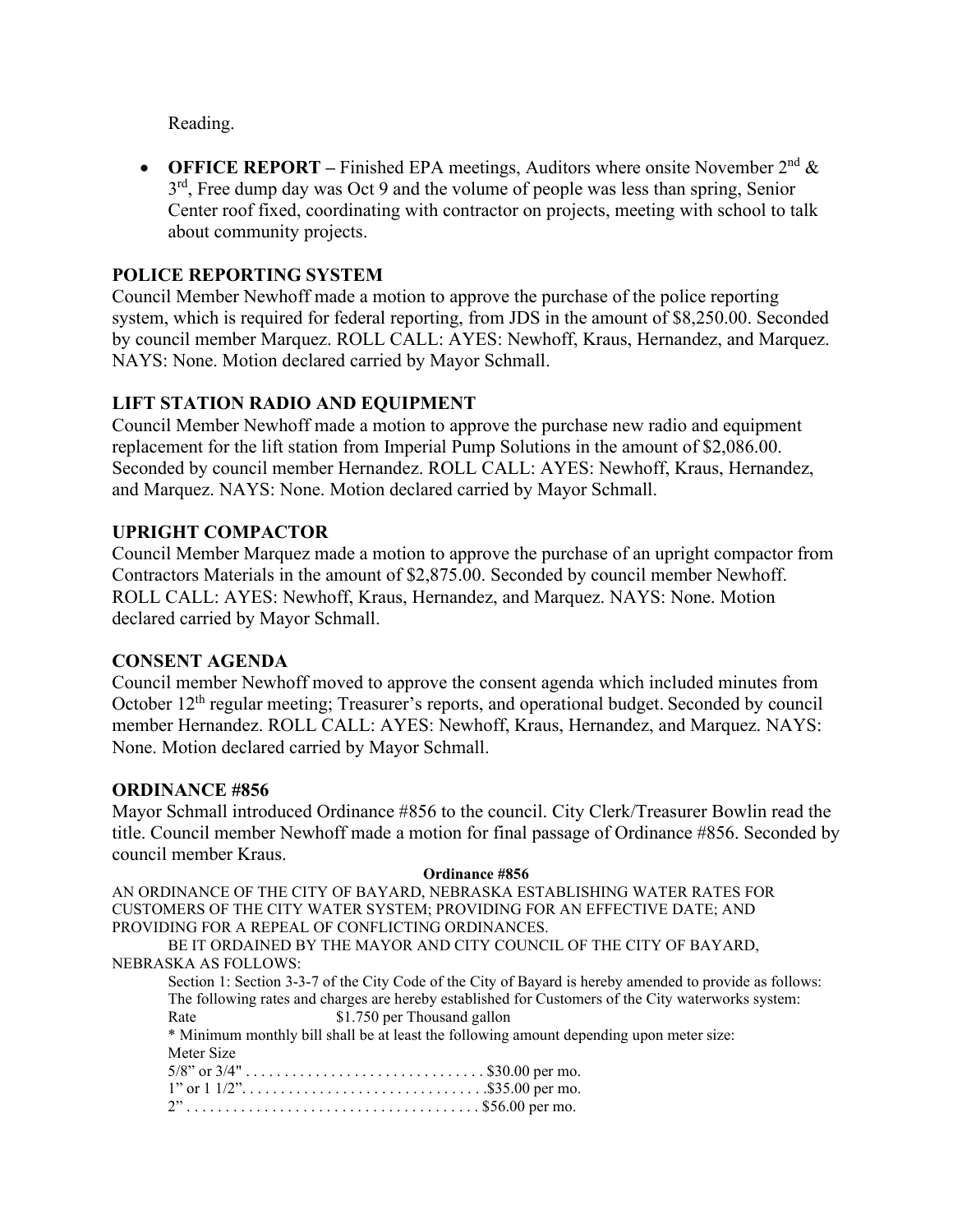Reading.

• **OFFICE REPORT** – Finished EPA meetings, Auditors where onsite November  $2^{nd} \&$  $3<sup>rd</sup>$ , Free dump day was Oct 9 and the volume of people was less than spring, Senior Center roof fixed, coordinating with contractor on projects, meeting with school to talk about community projects.

## **POLICE REPORTING SYSTEM**

Council Member Newhoff made a motion to approve the purchase of the police reporting system, which is required for federal reporting, from JDS in the amount of \$8,250.00. Seconded by council member Marquez. ROLL CALL: AYES: Newhoff, Kraus, Hernandez, and Marquez. NAYS: None. Motion declared carried by Mayor Schmall.

# **LIFT STATION RADIO AND EQUIPMENT**

Council Member Newhoff made a motion to approve the purchase new radio and equipment replacement for the lift station from Imperial Pump Solutions in the amount of \$2,086.00. Seconded by council member Hernandez. ROLL CALL: AYES: Newhoff, Kraus, Hernandez, and Marquez. NAYS: None. Motion declared carried by Mayor Schmall.

#### **UPRIGHT COMPACTOR**

Council Member Marquez made a motion to approve the purchase of an upright compactor from Contractors Materials in the amount of \$2,875.00. Seconded by council member Newhoff. ROLL CALL: AYES: Newhoff, Kraus, Hernandez, and Marquez. NAYS: None. Motion declared carried by Mayor Schmall.

#### **CONSENT AGENDA**

Council member Newhoff moved to approve the consent agenda which included minutes from October  $12<sup>th</sup>$  regular meeting; Treasurer's reports, and operational budget. Seconded by council member Hernandez. ROLL CALL: AYES: Newhoff, Kraus, Hernandez, and Marquez. NAYS: None. Motion declared carried by Mayor Schmall.

#### **ORDINANCE #856**

Mayor Schmall introduced Ordinance #856 to the council. City Clerk/Treasurer Bowlin read the title. Council member Newhoff made a motion for final passage of Ordinance #856. Seconded by council member Kraus.

#### **Ordinance #856**

AN ORDINANCE OF THE CITY OF BAYARD, NEBRASKA ESTABLISHING WATER RATES FOR CUSTOMERS OF THE CITY WATER SYSTEM; PROVIDING FOR AN EFFECTIVE DATE; AND PROVIDING FOR A REPEAL OF CONFLICTING ORDINANCES.

BE IT ORDAINED BY THE MAYOR AND CITY COUNCIL OF THE CITY OF BAYARD, NEBRASKA AS FOLLOWS:

Section 1: Section 3-3-7 of the City Code of the City of Bayard is hereby amended to provide as follows: The following rates and charges are hereby established for Customers of the City waterworks system: Rate \$1.750 per Thousand gallon \* Minimum monthly bill shall be at least the following amount depending upon meter size: Meter Size 5/8" or 3/4" . . . . . . . . . . . . . . . . . . . . . . . . . . . . . . . \$30.00 per mo.

| 1" or $1\frac{1}{2}$ "\$35.00 per mo. |  |
|---------------------------------------|--|
|                                       |  |